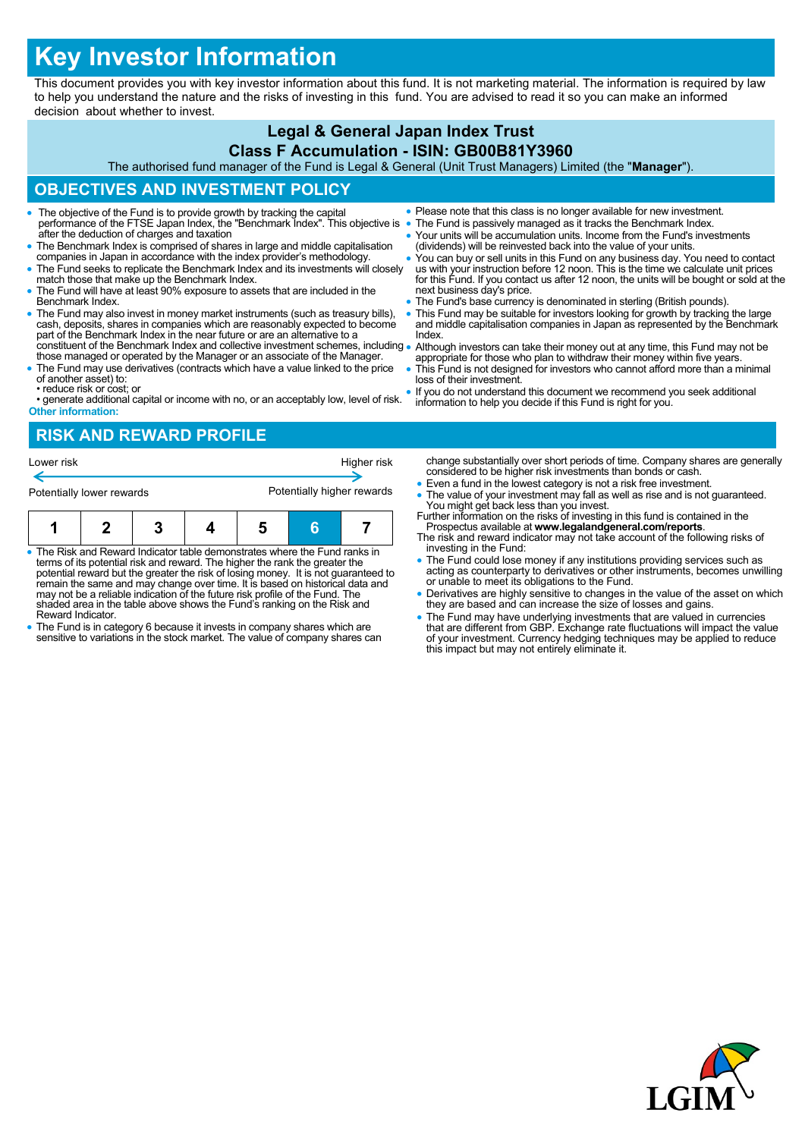# **Key Investor Information**

This document provides you with key investor information about this fund. It is not marketing material. The information is required by law to help you understand the nature and the risks of investing in this fund. You are advised to read it so you can make an informed decision about whether to invest.

## **Legal & General Japan Index Trust**

#### **Class F Accumulation - ISIN: GB00B81Y3960**

The authorised fund manager of the Fund is Legal & General (Unit Trust Managers) Limited (the "**Manager**").

# **OBJECTIVES AND INVESTMENT POLICY**

- The objective of the Fund is to provide growth by tracking the capital performance of the FTSE Japan Index, the "Benchmark Index". This objective is after the deduction of charges and taxation
- The Benchmark Index is comprised of shares in large and middle capitalisation companies in Japan in accordance with the index provider's methodology.
- The Fund seeks to replicate the Benchmark Index and its investments will closely match those that make up the Benchmark Index.
- The Fund will have at least 90% exposure to assets that are included in the Benchmark Index.
- The Fund may also invest in money market instruments (such as treasury bills), cash, deposits, shares in companies which are reasonably expected to become part of the Benchmark Index in the near future or are an alternative to a constituent of the Benchmark Index and collective investment schemes, including
- those managed or operated by the Manager or an associate of the Manager. The Fund may use derivatives (contracts which have a value linked to the price
- of another asset) to: • reduce risk or cost; or
- generate additional capital or income with no, or an acceptably low, level of risk. **Other information:**
- **RISK AND REWARD PROFILE**

| Lower risk                |  |  |  | Higher risk                |  |  |  |
|---------------------------|--|--|--|----------------------------|--|--|--|
| Potentially lower rewards |  |  |  | Potentially higher rewards |  |  |  |
| п                         |  |  |  |                            |  |  |  |

- The Risk and Reward Indicator table demonstrates where the Fund ranks in terms of its potential risk and reward. The higher the rank the greater the potential reward but the greater the risk of losing money. It is not guaranteed to remain the same and may change over time. It is based on historical data and may not be a reliable indication of the future risk profile of the Fund. The shaded area in the table above shows the Fund's ranking on the Risk and Reward Indicator.
- The Fund is in category 6 because it invests in company shares which are sensitive to variations in the stock market. The value of company shares can
- Please note that this class is no longer available for new investment.
- The Fund is passively managed as it tracks the Benchmark Index.
	- Your units will be accumulation units. Income from the Fund's investments (dividends) will be reinvested back into the value of your units.
	- You can buy or sell units in this Fund on any business day. You need to contact us with your instruction before 12 noon. This is the time we calculate unit prices for this Fund. If you contact us after 12 noon, the units will be bought or sold at the next business day's price.
- The Fund's base currency is denominated in sterling (British pounds).
- This Fund may be suitable for investors looking for growth by tracking the large and middle capitalisation companies in Japan as represented by the Benchmark Index.
- Although investors can take their money out at any time, this Fund may not be appropriate for those who plan to withdraw their money within five years.
- This Fund is not designed for investors who cannot afford more than a minimal loss of their investment.
- If you do not understand this document we recommend you seek additional information to help you decide if this Fund is right for you.

change substantially over short periods of time. Company shares are generally considered to be higher risk investments than bonds or cash.

- Even a fund in the lowest category is not a risk free investment.
- The value of your investment may fall as well as rise and is not guaranteed. You might get back less than you invest. Further information on the risks of investing in this fund is contained in the
- Prospectus available at **www.legalandgeneral.com/reports**. The risk and reward indicator may not take account of the following risks of
- investing in the Fund: The Fund could lose money if any institutions providing services such as acting as counterparty to derivatives or other instruments, becomes unwilling or unable to meet its obligations to the Fund.
- Derivatives are highly sensitive to changes in the value of the asset on which they are based and can increase the size of losses and gains.
- The Fund may have underlying investments that are valued in currencies<br>that are different from GBP. Exchange rate fluctuations will impact the value<br>of your investment. Currency hedging techniques may be applied to reduc